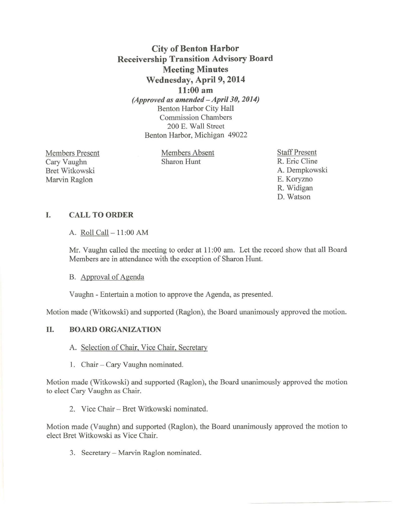# City of Benton Harbor Receivership Transition Advisory Board Meeting Minutes Wednesday, April 9, 2014 11:00 am *(Approved as amended -Apri/30, 2014)*

Benton Harbor City Hall Commission Chambers 200 E. Wall Street Benton Harbor, Michigan 49022

Members Present Cary Vaughn Bret Witkowski Marvin Raglon

Members Absent Sharon Hunt

Staff Present R. Eric Cline A. Dempkowski E. Koryzno R. Widigan D. Watson

- - --------- --- -

## I. CALL TO ORDER

A. Roll Call- 11 :00 AM

Mr. Vaughn called the meeting to order at 11:00 am. Let the record show that all Board Members are in attendance with the exception of Sharon Hunt.

B. Approval of Agenda

Vaughn - Entertain a motion to approve the Agenda, as presented.

Motion made (Witkowski) and supported (Raglon), the Board unanimously approved the motion.

## II. BOARD ORGANIZATION

- A. Selection of Chair, Vice Chair, Secretary
- 1. Chair- Cary Vaughn nominated.

Motion made (Witkowski) and supported (Raglon), the Board unanimously approved the motion to elect Cary Vaughn as Chair.

2. Vice Chair- Bret Witkowski nominated.

Motion made (Vaughn) and supported (Raglon), the Board unanimously approved the motion to elect Bret Witkowski as Vice Chair.

3. Secretary - Marvin Raglon nominated.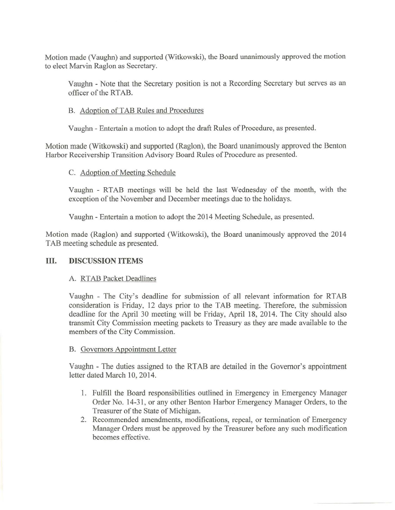Motion made (Vaughn) and supported (Witkowski), the Board unanimously approved the motion to elect Marvin Raglon as Secretary.

Vaughn - Note that the Secretary position is not a Recording Secretary but serves as an officer of the RTAB.

#### B. Adoption of TAB Rules and Procedures

Vaughn - Entertain a motion to adopt the draft Rules of Procedure, as presented.

Motion made (Witkowski) and supported (Raglon), the Board unanimously approved the Benton Harbor Receivership Transition Advisory Board Rules of Procedure as presented.

## C. Adoption of Meeting Schedule

Vaughn - RTAB meetings will be held the last Wednesday of the month, with the exception of the November and December meetings due to the holidays.

Vaughn - Entertain a motion to adopt the 2014 Meeting Schedule, as presented.

Motion made (Raglon) and supported (Witkowski), the Board unanimously approved the 2014 TAB meeting schedule as presented.

## III. **DISCUSSION ITEMS**

#### A. RTAB Packet Deadlines

Vaughn - The City's deadline for submission of all relevant information for RTAB consideration is Friday, 12 days prior to the TAB meeting. Therefore, the submission deadline for the April 30 meeting will be Friday, April 18, 2014. The City should also transmit City Commission meeting packets to Treasury as they are made available to the members of the City Commission.

#### B. Governors Appointment Letter

Vaughn - The duties assigned to the RTAB are detailed in the Governor's appointment letter dated March 10, 2014.

- 1. Fulfill the Board responsibilities outlined in Emergency in Emergency Manager Order No. 14-31, or any other Benton Harbor Emergency Manager Orders, to the Treasurer of the State of Michigan.
- 2. Recommended amendments, modifications, repeal, or termination of Emergency Manager Orders must be approved by the Treasurer before any such modification becomes effective.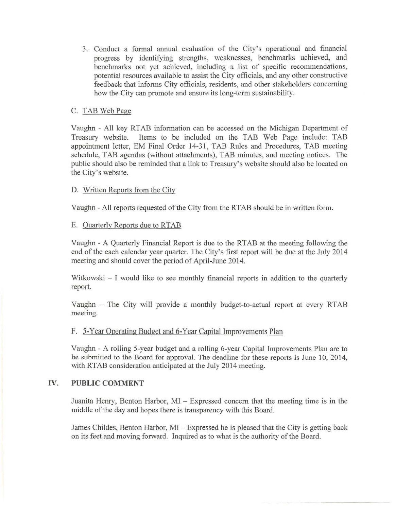3. Conduct a formal annual evaluation of the City's operational and financial progress by identifying strengths, weaknesses, benchmarks achieved, and benchmarks not yet achieved, including a list of specific recommendations, potential resources available to assist the City officials, and any other constructive feedback that informs City officials, residents, and other stakeholders concerning how the City can promote and ensure its long-term sustainability.

## C. TAB Web Page

Vaughn- All key RTAB information can be accessed on the Michigan Department of Treasury website. Items to be included on the TAB Web Page include: TAB appointment letter, EM Final Order 14-31, TAB Rules and Procedures, TAB meeting schedule, TAB agendas (without attachments), TAB minutes, and meeting notices. The public should also be reminded that a link to Treasury's website should also be located on the City's website.

## D. Written Reports from the City

Vaughn - All reports requested of the City from the RTAB should be in written form.

## E. Quarterly Reports due to RTAB

Vaughn- A Quarterly Financial Report is due to the RTAB at the meeting following the end of the each calendar year quarter. The City's first report will be due at the July 2014 meeting and should cover the period of April-June 2014.

Witkowski - I would like to see monthly financial reports in addition to the quarterly report.

Vaughn - The City will provide a monthly budget-to-actual report at every RTAB meeting.

#### F. 5-Year Operating Budget and 6-Year Capital Improvements Plan

Vaughn - A rolling 5-year budget and a rolling 6-year Capital Improvements Plan are to be submitted to the Board for approval. The deadline for these reports is June 10, 2014, with RTAB consideration anticipated at the July 2014 meeting.

## IV. **PUBLIC COMMENT**

Juanita Henry, Benton Harbor, MI - Expressed concern that the meeting time is in the middle of the day and hopes there is transparency with this Board.

James Childes, Benton Harbor, MI- Expressed he is pleased that the City is getting back on its feet and moving forward. Inquired as to what is the authority of the Board.